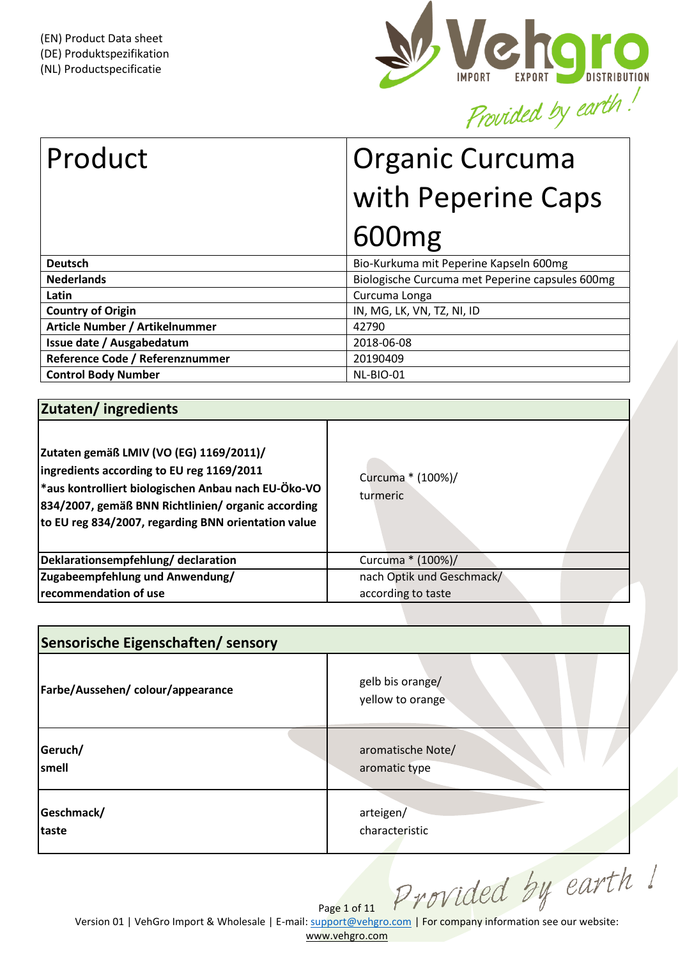

## Provided by earth! Product | Organic Curcuma with Peperine Caps 600mg

|                                 | $\sim$ $\sim$ $\sim$ $\sim$ $\sim$              |
|---------------------------------|-------------------------------------------------|
| <b>Deutsch</b>                  | Bio-Kurkuma mit Peperine Kapseln 600mg          |
| <b>Nederlands</b>               | Biologische Curcuma met Peperine capsules 600mg |
| Latin                           | Curcuma Longa                                   |
| <b>Country of Origin</b>        | IN, MG, LK, VN, TZ, NI, ID                      |
| Article Number / Artikelnummer  | 42790                                           |
| Issue date / Ausgabedatum       | 2018-06-08                                      |
| Reference Code / Referenznummer | 20190409                                        |
| <b>Control Body Number</b>      | NL-BIO-01                                       |

| <b>Zutaten/ingredients</b>                                                                                                                                                                                                                              |                               |  |  |  |
|---------------------------------------------------------------------------------------------------------------------------------------------------------------------------------------------------------------------------------------------------------|-------------------------------|--|--|--|
| Zutaten gemäß LMIV (VO (EG) 1169/2011)/<br>ingredients according to EU reg 1169/2011<br>*aus kontrolliert biologischen Anbau nach EU-Öko-VO<br>834/2007, gemäß BNN Richtlinien/organic according<br>to EU reg 834/2007, regarding BNN orientation value | Curcuma * (100%)/<br>turmeric |  |  |  |
| Deklarationsempfehlung/declaration                                                                                                                                                                                                                      | Curcuma * (100%)/             |  |  |  |
| Zugabeempfehlung und Anwendung/                                                                                                                                                                                                                         | nach Optik und Geschmack/     |  |  |  |
| recommendation of use                                                                                                                                                                                                                                   | according to taste            |  |  |  |

| Sensorische Eigenschaften/ sensory |                                      |  |  |
|------------------------------------|--------------------------------------|--|--|
| Farbe/Aussehen/colour/appearance   | gelb bis orange/<br>yellow to orange |  |  |
| Geruch/                            | aromatische Note/                    |  |  |
| smell                              | aromatic type                        |  |  |
| Geschmack/                         | arteigen/                            |  |  |
| taste                              | characteristic                       |  |  |

Page 1 of 11 Version 01 | VehGro Import & Wholesale | E-mail: [support@vehgro.com](mailto:support@vehgro.com) | For company information see our website:

[www.vehgro.com](http://www.vehgro.com/)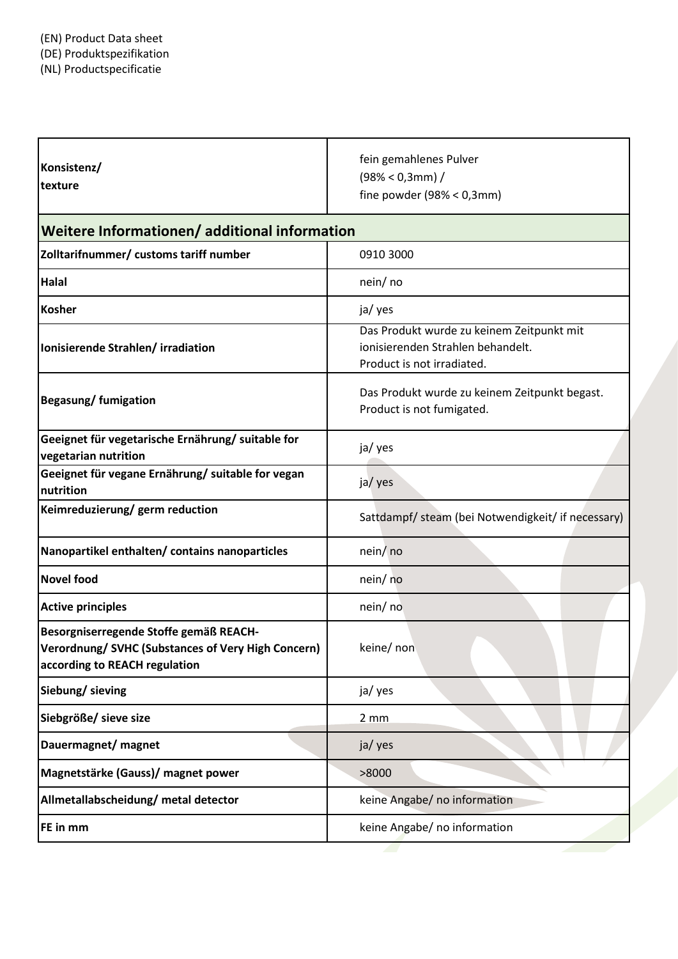| Konsistenz/<br>texture                                                                                                        | fein gemahlenes Pulver<br>$(98% < 0, 3mm)$ /<br>fine powder $(98% < 0,3$ mm)                                 |  |  |
|-------------------------------------------------------------------------------------------------------------------------------|--------------------------------------------------------------------------------------------------------------|--|--|
| Weitere Informationen/additional information                                                                                  |                                                                                                              |  |  |
| Zolltarifnummer/ customs tariff number                                                                                        | 0910 3000                                                                                                    |  |  |
| Halal                                                                                                                         | nein/ no                                                                                                     |  |  |
| <b>Kosher</b>                                                                                                                 | ja/ yes                                                                                                      |  |  |
| Ionisierende Strahlen/irradiation                                                                                             | Das Produkt wurde zu keinem Zeitpunkt mit<br>ionisierenden Strahlen behandelt.<br>Product is not irradiated. |  |  |
| <b>Begasung/fumigation</b>                                                                                                    | Das Produkt wurde zu keinem Zeitpunkt begast.<br>Product is not fumigated.                                   |  |  |
| Geeignet für vegetarische Ernährung/ suitable for<br>vegetarian nutrition                                                     | ja/ yes                                                                                                      |  |  |
| Geeignet für vegane Ernährung/ suitable for vegan<br>nutrition                                                                | ja/ yes                                                                                                      |  |  |
| Keimreduzierung/ germ reduction                                                                                               | Sattdampf/ steam (bei Notwendigkeit/ if necessary)                                                           |  |  |
| Nanopartikel enthalten/ contains nanoparticles                                                                                | nein/ no                                                                                                     |  |  |
| <b>Novel food</b>                                                                                                             | nein/ no                                                                                                     |  |  |
| <b>Active principles</b>                                                                                                      | nein/ no                                                                                                     |  |  |
| Besorgniserregende Stoffe gemäß REACH-<br>Verordnung/ SVHC (Substances of Very High Concern)<br>according to REACH regulation | keine/ non                                                                                                   |  |  |
| Siebung/ sieving                                                                                                              | ja/ yes                                                                                                      |  |  |
| Siebgröße/ sieve size                                                                                                         | 2 mm                                                                                                         |  |  |
| Dauermagnet/ magnet                                                                                                           | ja/ yes                                                                                                      |  |  |
| Magnetstärke (Gauss)/ magnet power                                                                                            | >8000                                                                                                        |  |  |
| Allmetallabscheidung/ metal detector                                                                                          | keine Angabe/ no information                                                                                 |  |  |
| FE in mm                                                                                                                      | keine Angabe/ no information                                                                                 |  |  |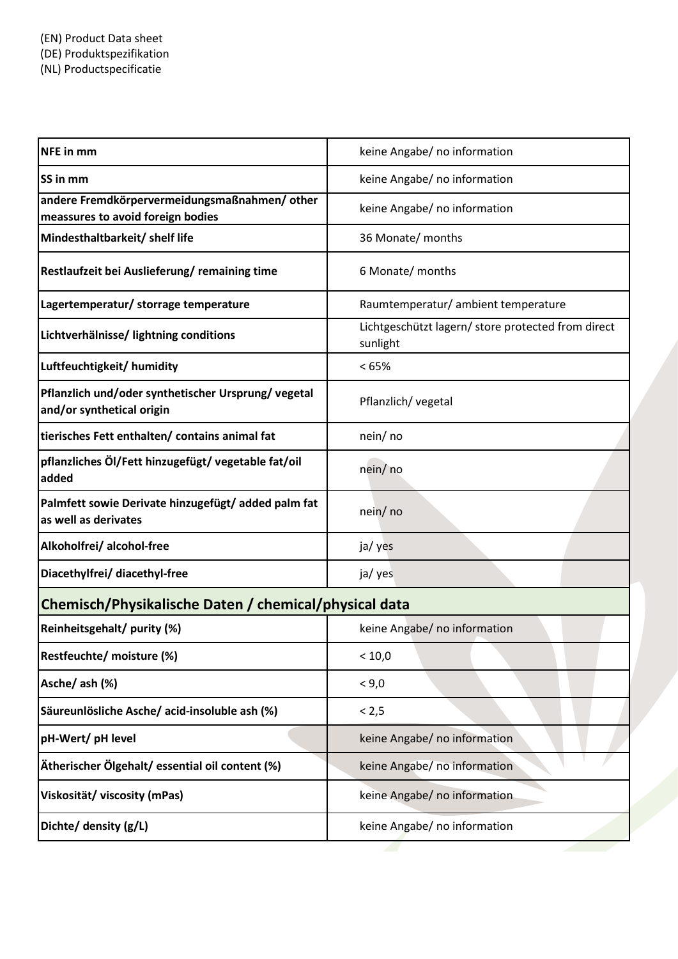| <b>NFE</b> in mm                                                                 | keine Angabe/ no information                                   |
|----------------------------------------------------------------------------------|----------------------------------------------------------------|
| <b>SS in mm</b>                                                                  | keine Angabe/ no information                                   |
| andere Fremdkörpervermeidungsmaßnahmen/other                                     |                                                                |
| meassures to avoid foreign bodies                                                | keine Angabe/ no information                                   |
| Mindesthaltbarkeit/ shelf life                                                   | 36 Monate/ months                                              |
| Restlaufzeit bei Auslieferung/remaining time                                     | 6 Monate/ months                                               |
| Lagertemperatur/ storrage temperature                                            | Raumtemperatur/ ambient temperature                            |
| Lichtverhälnisse/ lightning conditions                                           | Lichtgeschützt lagern/ store protected from direct<br>sunlight |
| Luftfeuchtigkeit/ humidity                                                       | <65%                                                           |
| Pflanzlich und/oder synthetischer Ursprung/ vegetal<br>and/or synthetical origin | Pflanzlich/ vegetal                                            |
| tierisches Fett enthalten/contains animal fat                                    | nein/ no                                                       |
| pflanzliches Öl/Fett hinzugefügt/vegetable fat/oil<br>added                      | nein/no                                                        |
| Palmfett sowie Derivate hinzugefügt/ added palm fat<br>as well as derivates      | nein/ no                                                       |
| Alkoholfrei/ alcohol-free                                                        | ja/ yes                                                        |
| Diacethylfrei/ diacethyl-free                                                    | ja/ yes                                                        |
| Chemisch/Physikalische Daten / chemical/physical data                            |                                                                |
| Reinheitsgehalt/ purity (%)                                                      | keine Angabe/ no information                                   |
| Restfeuchte/ moisture (%)                                                        | < 10,0                                                         |
| Asche/ ash (%)                                                                   | < 9,0                                                          |
| Säureunlösliche Asche/ acid-insoluble ash (%)                                    | < 2, 5                                                         |
| pH-Wert/ pH level                                                                | keine Angabe/ no information                                   |
| Ätherischer Ölgehalt/ essential oil content (%)                                  | keine Angabe/ no information                                   |
| Viskosität/ viscosity (mPas)                                                     | keine Angabe/ no information                                   |
| Dichte/ density (g/L)                                                            | keine Angabe/ no information                                   |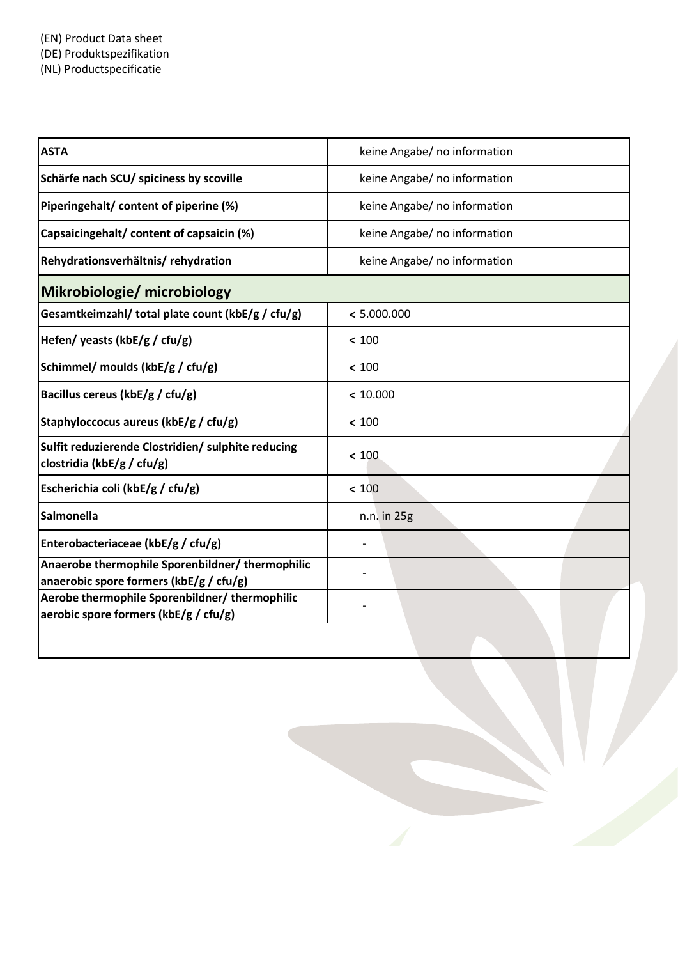| <b>ASTA</b>                                                                                     | keine Angabe/ no information |  |  |
|-------------------------------------------------------------------------------------------------|------------------------------|--|--|
| Schärfe nach SCU/ spiciness by scoville                                                         | keine Angabe/ no information |  |  |
| Piperingehalt/ content of piperine (%)                                                          | keine Angabe/ no information |  |  |
| Capsaicingehalt/ content of capsaicin (%)                                                       | keine Angabe/ no information |  |  |
| Rehydrationsverhältnis/rehydration                                                              | keine Angabe/ no information |  |  |
| Mikrobiologie/ microbiology                                                                     |                              |  |  |
| Gesamtkeimzahl/ total plate count (kbE/g / cfu/g)                                               | < 5.000.000                  |  |  |
| Hefen/ yeasts (kbE/g / cfu/g)                                                                   | < 100                        |  |  |
| Schimmel/ moulds (kbE/g / cfu/g)                                                                | < 100                        |  |  |
| Bacillus cereus (kbE/g / cfu/g)                                                                 | < 10.000                     |  |  |
| Staphyloccocus aureus (kbE/g / cfu/g)                                                           | < 100                        |  |  |
| Sulfit reduzierende Clostridien/ sulphite reducing<br>clostridia (kbE/g / cfu/g)                | < 100                        |  |  |
| Escherichia coli (kbE/g / cfu/g)                                                                | < 100                        |  |  |
| Salmonella                                                                                      | n.n. in 25g                  |  |  |
| Enterobacteriaceae (kbE/g / cfu/g)                                                              |                              |  |  |
| Anaerobe thermophile Sporenbildner/ thermophilic<br>anaerobic spore formers ( $k$ bE/g / cfu/g) |                              |  |  |
| Aerobe thermophile Sporenbildner/ thermophilic<br>aerobic spore formers (kbE/g / cfu/g)         |                              |  |  |
|                                                                                                 |                              |  |  |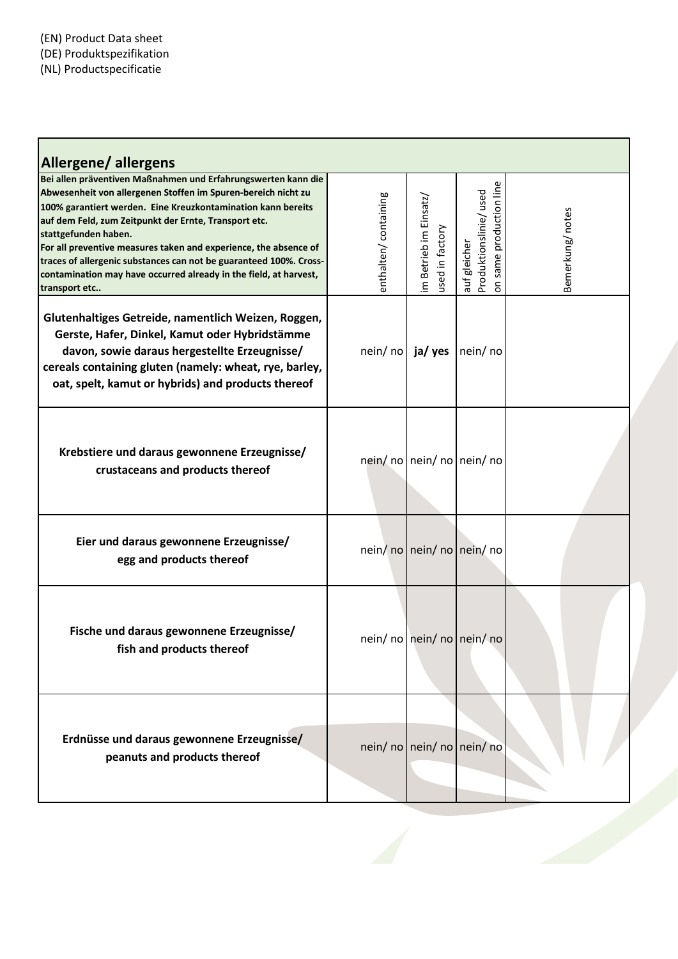| <b>Allergene/ allergens</b>                                                                                                                                                                                                                                                                                                                                                                                                                                                                                     |                      |                                           |                                                                                                                                                                                                                                |                 |
|-----------------------------------------------------------------------------------------------------------------------------------------------------------------------------------------------------------------------------------------------------------------------------------------------------------------------------------------------------------------------------------------------------------------------------------------------------------------------------------------------------------------|----------------------|-------------------------------------------|--------------------------------------------------------------------------------------------------------------------------------------------------------------------------------------------------------------------------------|-----------------|
| Bei allen präventiven Maßnahmen und Erfahrungswerten kann die<br>Abwesenheit von allergenen Stoffen im Spuren-bereich nicht zu<br>100% garantiert werden. Eine Kreuzkontamination kann bereits<br>auf dem Feld, zum Zeitpunkt der Ernte, Transport etc.<br>stattgefunden haben.<br>For all preventive measures taken and experience, the absence of<br>traces of allergenic substances can not be guaranteed 100%. Cross-<br>contamination may have occurred already in the field, at harvest,<br>transport etc | enthalten/containing | im Betrieb im Einsatz/<br>used in factory | production line<br>Produktionslinie/used<br>auf gleicher<br>same<br>$\mathsf{S}% _{T}=\mathsf{S}_{T}\!\left( a,b\right) ,\mathsf{S}_{T}=\mathsf{S}_{T}\!\left( a,b\right) ,\mathsf{S}_{T}=\mathsf{S}_{T}\!\left( a,b\right) ,$ | Bemerkung/notes |
| Glutenhaltiges Getreide, namentlich Weizen, Roggen,<br>Gerste, Hafer, Dinkel, Kamut oder Hybridstämme<br>davon, sowie daraus hergestellte Erzeugnisse/<br>cereals containing gluten (namely: wheat, rye, barley,<br>oat, spelt, kamut or hybrids) and products thereof                                                                                                                                                                                                                                          | nein/no              | ja/ yes                                   | nein/ no                                                                                                                                                                                                                       |                 |
| Krebstiere und daraus gewonnene Erzeugnisse/<br>crustaceans and products thereof                                                                                                                                                                                                                                                                                                                                                                                                                                |                      | nein/ no   nein/ no   nein/ no            |                                                                                                                                                                                                                                |                 |
| Eier und daraus gewonnene Erzeugnisse/<br>egg and products thereof                                                                                                                                                                                                                                                                                                                                                                                                                                              |                      | nein/ no   nein/ no   nein/ no            |                                                                                                                                                                                                                                |                 |
| Fische und daraus gewonnene Erzeugnisse/<br>fish and products thereof                                                                                                                                                                                                                                                                                                                                                                                                                                           |                      | nein/ no   nein/ no   nein/ no            |                                                                                                                                                                                                                                |                 |
| Erdnüsse und daraus gewonnene Erzeugnisse/<br>peanuts and products thereof                                                                                                                                                                                                                                                                                                                                                                                                                                      |                      | nein/ no   nein/ no   nein/ no            |                                                                                                                                                                                                                                |                 |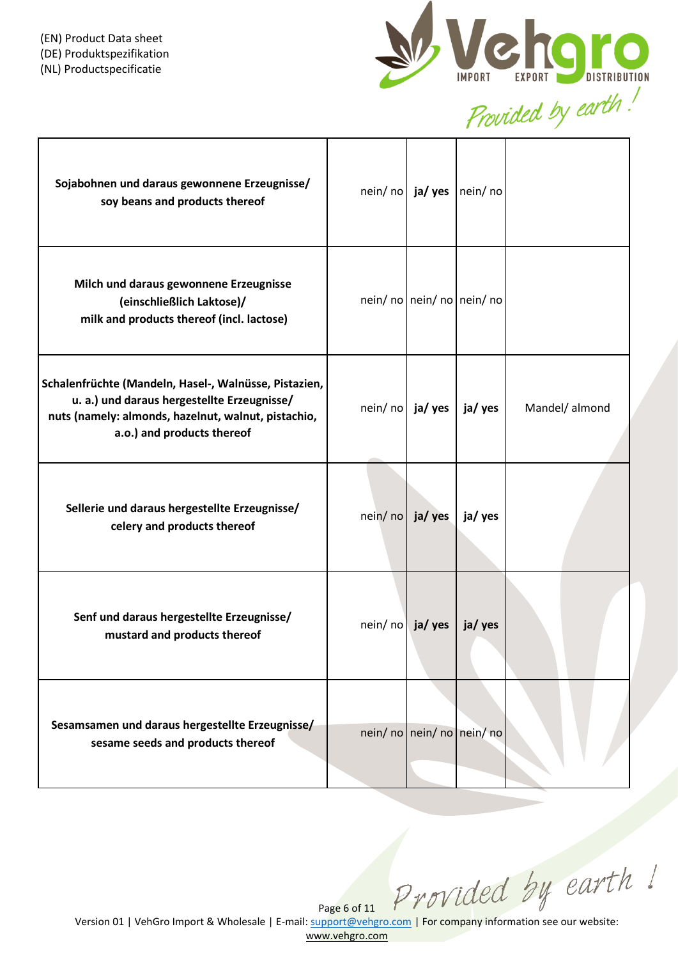

Provided by earth!

| Sojabohnen und daraus gewonnene Erzeugnisse/<br>soy beans and products thereof                                                                                                            |                    | nein/ no   ja/ yes   nein/ no |                                |                |
|-------------------------------------------------------------------------------------------------------------------------------------------------------------------------------------------|--------------------|-------------------------------|--------------------------------|----------------|
| Milch und daraus gewonnene Erzeugnisse<br>(einschließlich Laktose)/<br>milk and products thereof (incl. lactose)                                                                          |                    |                               | nein/ no   nein/ no   nein/ no |                |
| Schalenfrüchte (Mandeln, Hasel-, Walnüsse, Pistazien,<br>u. a.) und daraus hergestellte Erzeugnisse/<br>nuts (namely: almonds, hazelnut, walnut, pistachio,<br>a.o.) and products thereof | $nein/no$ ja/ yes  |                               | ja/ yes                        | Mandel/ almond |
| Sellerie und daraus hergestellte Erzeugnisse/<br>celery and products thereof                                                                                                              | nein/ no   ja/ yes |                               | ja/ yes                        |                |
| Senf und daraus hergestellte Erzeugnisse/<br>mustard and products thereof                                                                                                                 |                    | nein/ no   ja/ yes            | ja/ yes                        |                |
| Sesamsamen und daraus hergestellte Erzeugnisse/<br>sesame seeds and products thereof                                                                                                      |                    |                               | nein/ no   nein/ no   nein/ no |                |

Page 6 of 11 Version 01 | VehGro Import & Wholesale | E-mail: support@vehgro.com | For company information see our website: www.vehgro.com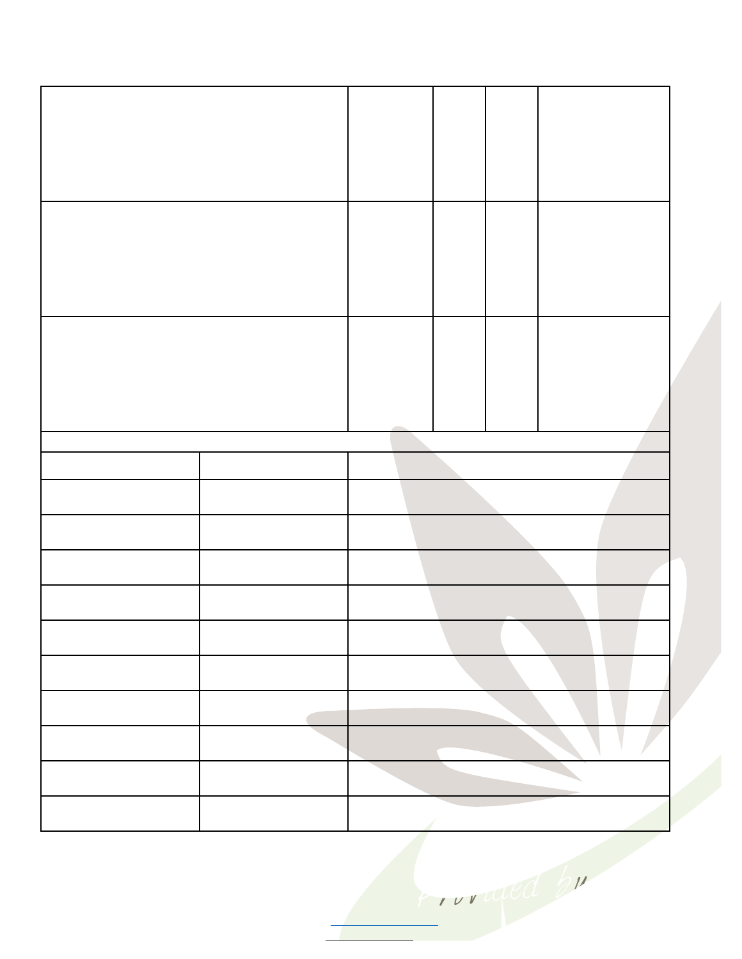| Schwefeldioxid und Sufite/<br>sulphur dioxide and sulphites                      |                    |          | nein/ nolnein/ nolnein/ no   |  |  |
|----------------------------------------------------------------------------------|--------------------|----------|------------------------------|--|--|
| Lupinen und daraus hergestellte Erzeugnisse/<br>lupin and products thereof       |                    |          | nein/ nol nein/ nol nein/ no |  |  |
| Weichtiere und daraus hergestellte Erzeugnisse/<br>molluscs and products thereof |                    |          | nein/ no nein/ no nein/ no   |  |  |
|                                                                                  |                    |          |                              |  |  |
| Sqaöl/ soya oil                                                                  | enthalten/contains | nein/ no |                              |  |  |
| Sqalecithin/ soya lecithin                                                       | enthalten/contains | nein/ no |                              |  |  |
| Saccharose                                                                       | enthalten/contains | nein/ no |                              |  |  |
| Fructose                                                                         | enthalten/contains | nein/ no |                              |  |  |
| Rindfleisch/beef                                                                 | enthalten/contains | nein/ no |                              |  |  |
| Rind, sonstige/ cattle<br>derivates                                              | enthalten/contains | nein/ no |                              |  |  |
| Schweinefleisch/pork                                                             | enthalten/contains | nein/ no |                              |  |  |
| Schwein, sonstige/ pig<br>derivates                                              | enthalten/contains | nein/ no |                              |  |  |
| Geflügelfleisch/poultry                                                          | enthalten/contains | nein/ no |                              |  |  |
| Geflügel, sonstige/ poultry<br>derivates                                         | enthalten/contains | nein/ no |                              |  |  |
| Mais/corn                                                                        | enthalten/contains | nein/ no |                              |  |  |

 $V V V$ Page7 of 11 Version 01 | VehGro Import & Wholesale | mEail: support@vehgro.com| For company information see our weltsai www.vehgro.com

 $\mu$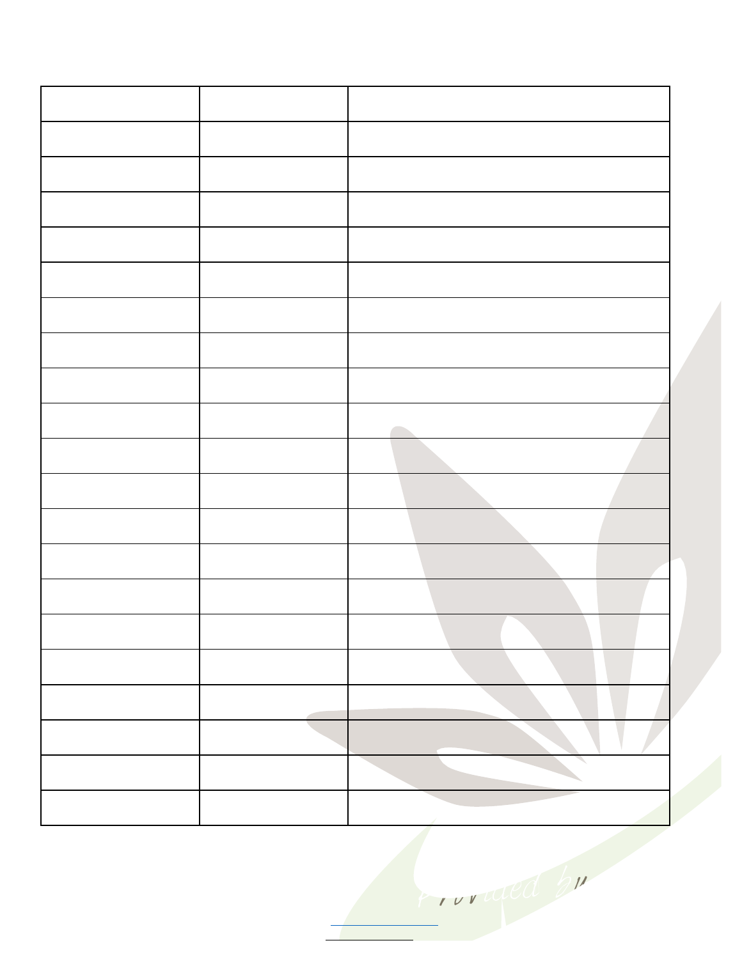| Kakao/ cacao                                         | enthalten/contains | nein/ no |
|------------------------------------------------------|--------------------|----------|
| Hülsenfrüchte/ legumes                               | enthalten/contains | nein/ no |
| Hefe/ yeast                                          | enthalten/contains | nein/ no |
| Serföl/ mustard oleoresin                            | enthalten/contains | nein/ no |
| Lactose                                              | enthalten/contains | nein/ no |
| Glutamate, zugesetzt/<br>glutamate, added            | enthalten/contains | nein/ no |
| Glutamate, natürlicher<br>Gehalt/ glutamate, natural | enthalten/contains | nein/ no |
| <b>BHA-BHT</b><br>(E320 tE321)                       | enthalten/contains | nein/ no |
| Benzoesäure/ benzoic add                             | enthalten/contains | nein/ no |
| Parabene parabens<br>(E214E219)                      | enthalten/contains | nein/ no |
| Azofarbstoffe/ azodyes                               | enthalten/contains | nein/ no |
| Tartrazine/ tartrazin (E102)                         | enthalten/contains | nein/ no |
| Gelborange/<br>sunset yellow                         | enthalten/contains | nein/ no |
| Azorubine/<br>azorubin (E122)                        | enthalten/contains | nein/ no |
| Amarante/<br>amaranth (E123)                         | enthalten/contains | nein/ no |
| Cochenillerot/<br>cochenille red A                   | enthalten/contains | nein/ no |
| Sabinsäure/ sorbic add                               | enthalten/contains | nein/ no |
| Zimt/ cinnamon                                       | enthalten/contains | nein/ no |
| Vanillin                                             | enthalten/contains | nein/ no |
| Umbelliferae                                         | enthalten/contains | nein/ no |
| Koriander/coriander                                  | enthalten/contains | nein/ no |

Page<sub>8</sub> of 11 Version 01 | VehGro Import & Wholesale | mEail: support@vehgro.com| For company information see our weltsai www.vehgro.com

 $\mu$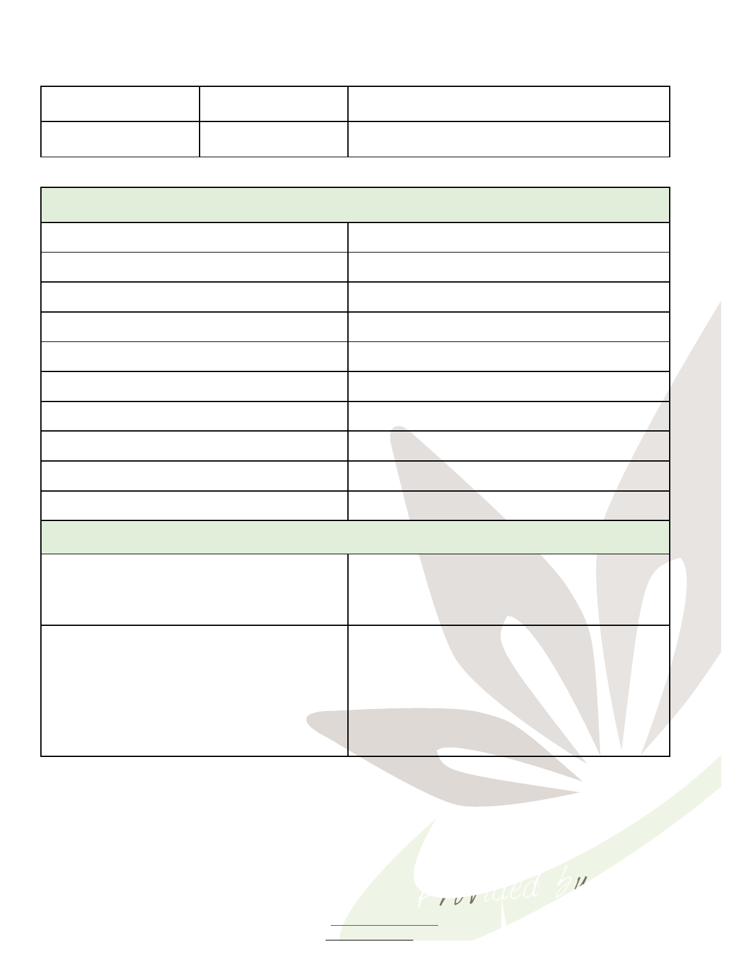| Selerieöl,-oleoresin/<br>celery oil, celery oleoresin | enthalten/contains | nein/ no |
|-------------------------------------------------------|--------------------|----------|
| Milchprotein/ milk protein enthalten/contains         |                    | nein/ no |

| Nährwerte/ nutritional values                                                                                                                                                                                      |                 |
|--------------------------------------------------------------------------------------------------------------------------------------------------------------------------------------------------------------------|-----------------|
| kcal/100 $g$                                                                                                                                                                                                       | 356 kcal        |
| kJ100g                                                                                                                                                                                                             | 1491 KJ         |
| Eweiß/ protein g/100 g                                                                                                                                                                                             | 8 g             |
| Kohlenhydrate/carbohydrates g/100 g                                                                                                                                                                                | 58 g            |
| davon Zucker g/100 g                                                                                                                                                                                               | 58 g            |
| Fett/ fat g/100g                                                                                                                                                                                                   | 10 <sub>g</sub> |
| gesättigte Fett säuren/ saturated fatty adds g/100 g                                                                                                                                                               | 3 <sub>g</sub>  |
| Ballaststoffe/ fiber g/100 g                                                                                                                                                                                       | 7 g             |
| Natrium/ sodium mg/100 g                                                                                                                                                                                           | 38 mg           |
| Saz/ salt g/100 g                                                                                                                                                                                                  | 0 <sub>g</sub>  |
| GVO-Information/GMO-information<br>Enthält das Produkt GVO gemäß der Verordnung (EG)<br>1829/2003 und 1830/2003? / Does the product<br>contain GMO according to regulations 1829/2003/EC<br>and 1830/2003?         | nein/ no        |
| Ist das Produkt aus GVO-Rohstoffen hergestellt oder<br>enthält es Zutaten, Zusatzstoffe oder Aromen (inkl.<br>Trägerstoffe), die aus GVO hergestellt wurden? / Is<br>the product produced from GMO raw material or | nein/ no        |

contains ingredients, additivesor flavor (incl. carriers)

which are produced from GMO?

 $V V V$ Page9 of 11 Version 01 | VehGro Import & Wholesale | mEail: support@vehgro.com| For company information see our weltsai www.vehgro.com

 $\overline{U}$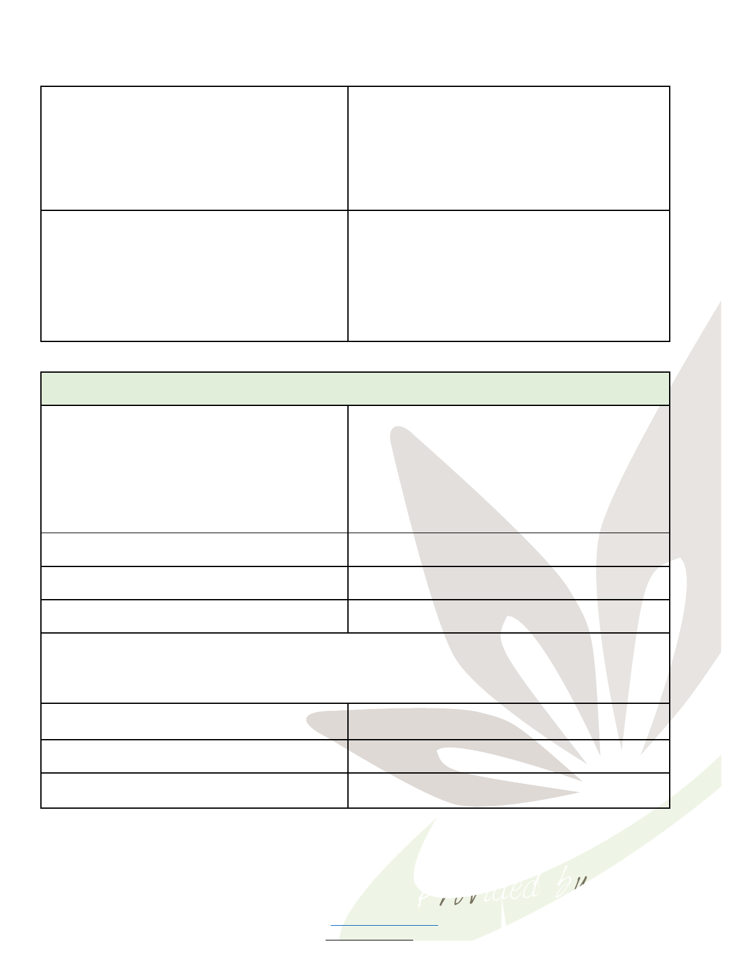| Ist das Produkt oder eines seiner Inhaltsstoffe mit<br>Hilfe von GVO hergestellt (z.B mit Enzymen,<br>Mikroorganismen, Hilfsstoffen, die aus GVO<br>gewonnen wurden)? / Is the product or any of its<br>ingredients produced with help of GMO (e.g. enzyme,<br>microorganism, additives, derived from GMO)?                               | nein/ no                     |
|-------------------------------------------------------------------------------------------------------------------------------------------------------------------------------------------------------------------------------------------------------------------------------------------------------------------------------------------|------------------------------|
| Ist das Produkt entsprechend EG-<br>Gentechnikdurchfürungsgesetz ©hne Gentechni I^<br>(kein GVO enthalten, nicht mit Hilfe von GVO, kein<br>GVO analytisch nachweisbar)? / Is the product<br>according to EC-GMOImplementation Law "GMO-<br>free" (not containing GMOs, produced without help of<br>GMO, no GMO analytically detectable)? | keine Angabe/ no information |

| Verpackung packaging                                                                                                                                                                                                                                                                                                       |                                                                                                                                                                                                                            |
|----------------------------------------------------------------------------------------------------------------------------------------------------------------------------------------------------------------------------------------------------------------------------------------------------------------------------|----------------------------------------------------------------------------------------------------------------------------------------------------------------------------------------------------------------------------|
| Gewicht und Art der Verpackung/ weight and<br>packaging                                                                                                                                                                                                                                                                    | 1 kg Beutel/ Sackware 20-25 kg Monokunststoffsack<br>oder<br>Papiersackmit Pdybeuteloder nach<br>Kundenwunsch/1kg bag/bagged cago 20-25kg<br>monoartsolid sackor paper sackwith poly bagor<br>according to cutomer request |
| Tara-Gewicht der Verpackung/ tare weight of the<br>packaging                                                                                                                                                                                                                                                               | keine Angabe/ no information                                                                                                                                                                                               |
| kg pro Palette/ kg per palett                                                                                                                                                                                                                                                                                              | keine Angabe/ no information                                                                                                                                                                                               |
| Art der Palette/ palett type                                                                                                                                                                                                                                                                                               | keine Angabe/ no information                                                                                                                                                                                               |
| Die Verpackung entspricht der Verordnung (EG) Nr. 1935/2004 der Verordnung (EU) Nr. 10/2011 und der<br>Verordnung (EG) Nr. 2023/2006 in der jeweils geltenden Fassung/<br>The packaging conforms to the regulation (EC) No 1935/2004 regulation (EU)No 10/2011 and regulation (EC)<br>No 2023/2006 in the current version. |                                                                                                                                                                                                                            |
| Werden Dual Use Additives verwendet?/ Are Dual Use<br>Additives in use?                                                                                                                                                                                                                                                    | nein/ no                                                                                                                                                                                                                   |
| Enthält die Verpackung Nanopartikel ?/ Does the<br>package contain nanoparticles?                                                                                                                                                                                                                                          | nein/ no                                                                                                                                                                                                                   |
| Enthält Verpackung Phthalate?/ Does the packaging<br>contain any phthalate?                                                                                                                                                                                                                                                | nein/ no                                                                                                                                                                                                                   |

Page 10 of 11 Version 01 | VehGro Import & Wholesale | mEail: support@vehgro.com| For company information see our weltsai www.vehgro.com

 $\overline{U}$